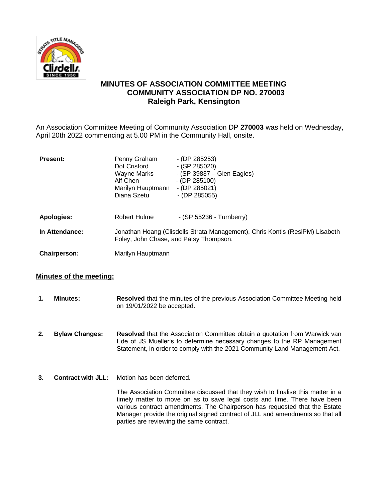

# **MINUTES OF ASSOCIATION COMMITTEE MEETING COMMUNITY ASSOCIATION DP NO. 270003 Raleigh Park, Kensington**

An Association Committee Meeting of Community Association DP **270003** was held on Wednesday, April 20th 2022 commencing at 5.00 PM in the Community Hall, onsite.

| <b>Present:</b>   | Penny Graham<br>Dot Crisford<br>Wayne Marks<br>Alf Chen<br>Marilyn Hauptmann<br>Diana Szetu                            | $-$ (DP 285253)<br>$-$ (SP 285020)<br>$-$ (SP 39837 – Glen Eagles)<br>$-$ (DP 285100)<br>$-$ (DP 285021)<br>$-$ (DP 285055) |
|-------------------|------------------------------------------------------------------------------------------------------------------------|-----------------------------------------------------------------------------------------------------------------------------|
| <b>Apologies:</b> | Robert Hulme                                                                                                           | - (SP 55236 - Turnberry)                                                                                                    |
| In Attendance:    | Jonathan Hoang (Clisdells Strata Management), Chris Kontis (ResiPM) Lisabeth<br>Foley, John Chase, and Patsy Thompson. |                                                                                                                             |
| Chairperson:      | Marilyn Hauptmann                                                                                                      |                                                                                                                             |

## **Minutes of the meeting:**

- **1. Minutes: Resolved** that the minutes of the previous Association Committee Meeting held on 19/01/2022 be accepted.
- **2. Bylaw Changes: Resolved** that the Association Committee obtain a quotation from Warwick van Ede of JS Mueller's to determine necessary changes to the RP Management Statement, in order to comply with the 2021 Community Land Management Act.
- **3. Contract with JLL:** Motion has been deferred.

The Association Committee discussed that they wish to finalise this matter in a timely matter to move on as to save legal costs and time. There have been various contract amendments. The Chairperson has requested that the Estate Manager provide the original signed contract of JLL and amendments so that all parties are reviewing the same contract.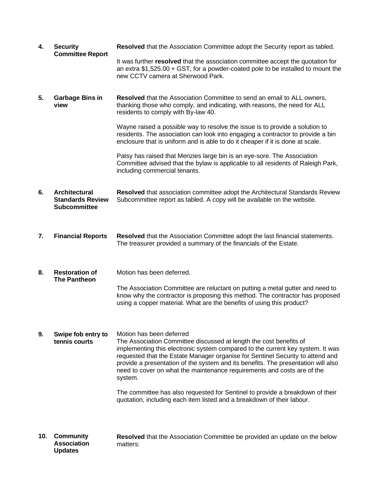| 4.  | <b>Security</b><br><b>Committee Report</b>                      | Resolved that the Association Committee adopt the Security report as tabled.                                                                                                                                                                                                                                                                                                                                                                  |
|-----|-----------------------------------------------------------------|-----------------------------------------------------------------------------------------------------------------------------------------------------------------------------------------------------------------------------------------------------------------------------------------------------------------------------------------------------------------------------------------------------------------------------------------------|
|     |                                                                 | It was further resolved that the association committee accept the quotation for<br>an extra $$1,525.00 + GST$ , for a powder-coated pole to be installed to mount the<br>new CCTV camera at Sherwood Park.                                                                                                                                                                                                                                    |
| 5.  | <b>Garbage Bins in</b><br>view                                  | Resolved that the Association Committee to send an email to ALL owners,<br>thanking those who comply, and indicating, with reasons, the need for ALL<br>residents to comply with By-law 40.                                                                                                                                                                                                                                                   |
|     |                                                                 | Wayne raised a possible way to resolve the issue is to provide a solution to<br>residents. The association can look into engaging a contractor to provide a bin<br>enclosure that is uniform and is able to do it cheaper if it is done at scale.                                                                                                                                                                                             |
|     |                                                                 | Patsy has raised that Menzies large bin is an eye-sore. The Association<br>Committee advised that the bylaw is applicable to all residents of Raleigh Park,<br>including commercial tenants.                                                                                                                                                                                                                                                  |
| 6.  | Architectural<br><b>Standards Review</b><br><b>Subcommittee</b> | Resolved that association committee adopt the Architectural Standards Review<br>Subcommittee report as tabled. A copy will be available on the website.                                                                                                                                                                                                                                                                                       |
| 7.  | <b>Financial Reports</b>                                        | Resolved that the Association Committee adopt the last financial statements.<br>The treasurer provided a summary of the financials of the Estate.                                                                                                                                                                                                                                                                                             |
| 8.  | <b>Restoration of</b><br><b>The Pantheon</b>                    | Motion has been deferred.                                                                                                                                                                                                                                                                                                                                                                                                                     |
|     |                                                                 | The Association Committee are reluctant on putting a metal gutter and need to<br>know why the contractor is proposing this method. The contractor has proposed<br>using a copper material. What are the benefits of using this product?                                                                                                                                                                                                       |
| 9.  | Swipe fob entry to<br>tennis courts                             | Motion has been deferred<br>The Association Committee discussed at length the cost benefits of<br>implementing this electronic system compared to the current key system. It was<br>requested that the Estate Manager organise for Sentinel Security to attend and<br>provide a presentation of the system and its benefits. The presentation will also<br>need to cover on what the maintenance requirements and costs are of the<br>system. |
|     |                                                                 | The committee has also requested for Sentinel to provide a breakdown of their<br>quotation, including each item listed and a breakdown of their labour.                                                                                                                                                                                                                                                                                       |
| 10. | <b>Community</b><br><b>Association</b><br><b>Updates</b>        | <b>Resolved</b> that the Association Committee be provided an update on the below<br>matters:                                                                                                                                                                                                                                                                                                                                                 |